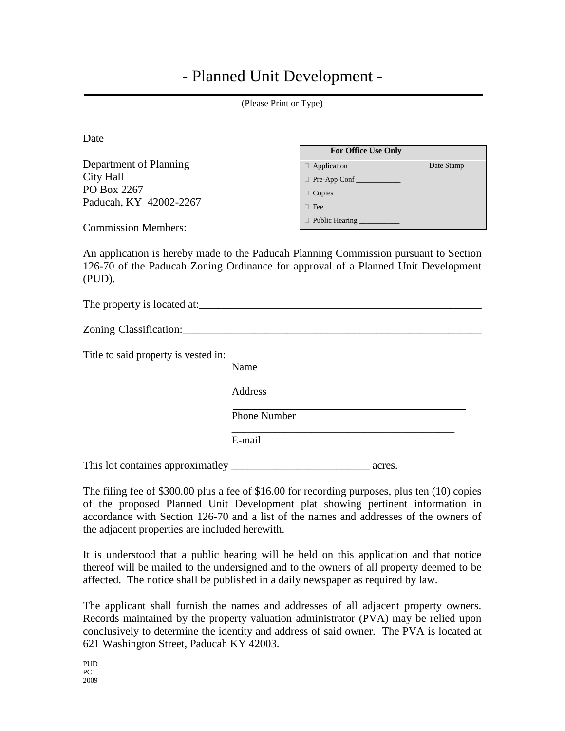## - Planned Unit Development -

| (Please Print or Type)                                                                                                     |                     |                            |            |  |
|----------------------------------------------------------------------------------------------------------------------------|---------------------|----------------------------|------------|--|
| Date                                                                                                                       |                     |                            |            |  |
|                                                                                                                            |                     | For Office Use Only        |            |  |
| Department of Planning                                                                                                     |                     | Application                | Date Stamp |  |
| City Hall                                                                                                                  |                     | Pre-App Conf               |            |  |
| PO Box 2267                                                                                                                | $\Box$ Copies       |                            |            |  |
| Paducah, KY 42002-2267                                                                                                     | $\Box$ Fee          |                            |            |  |
|                                                                                                                            |                     | D Public Hearing _________ |            |  |
| <b>Commission Members:</b>                                                                                                 |                     |                            |            |  |
| 126-70 of the Paducah Zoning Ordinance for approval of a Planned Unit Development<br>(PUD).<br>The property is located at: |                     |                            |            |  |
|                                                                                                                            |                     |                            |            |  |
| Title to said property is vested in:                                                                                       |                     |                            |            |  |
|                                                                                                                            | Name                |                            |            |  |
|                                                                                                                            | Address             |                            |            |  |
|                                                                                                                            | <b>Phone Number</b> |                            |            |  |

E-mail

This lot containes approximatley \_\_\_\_\_\_\_\_\_\_\_\_\_\_\_\_\_\_\_\_\_\_\_\_\_ acres.

The filing fee of \$300.00 plus a fee of \$16.00 for recording purposes, plus ten (10) copies of the proposed Planned Unit Development plat showing pertinent information in accordance with Section 126-70 and a list of the names and addresses of the owners of the adjacent properties are included herewith.

\_\_\_\_\_\_\_\_\_\_\_\_\_\_\_\_\_\_\_\_\_\_\_\_\_\_\_\_\_\_\_\_\_\_\_\_\_\_\_\_\_\_

It is understood that a public hearing will be held on this application and that notice thereof will be mailed to the undersigned and to the owners of all property deemed to be affected. The notice shall be published in a daily newspaper as required by law.

The applicant shall furnish the names and addresses of all adjacent property owners. Records maintained by the property valuation administrator (PVA) may be relied upon conclusively to determine the identity and address of said owner. The PVA is located at 621 Washington Street, Paducah KY 42003.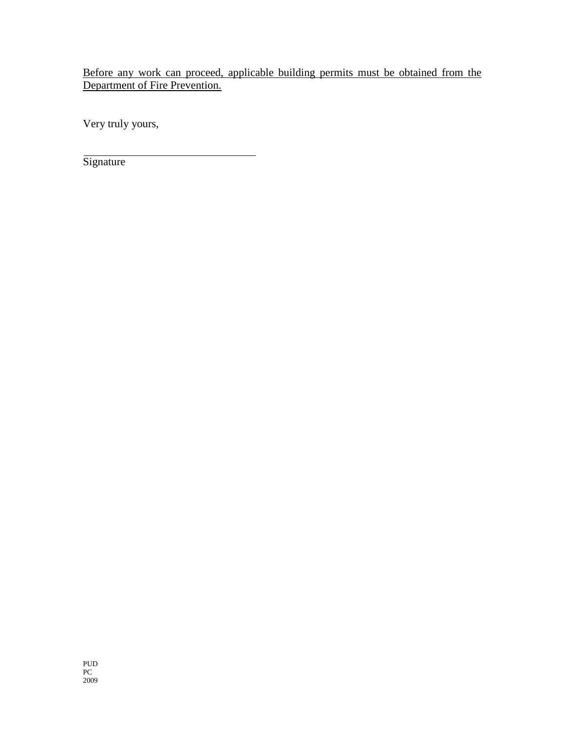Before any work can proceed, applicable building permits must be obtained from the Department of Fire Prevention.

Very truly yours,

**Signature**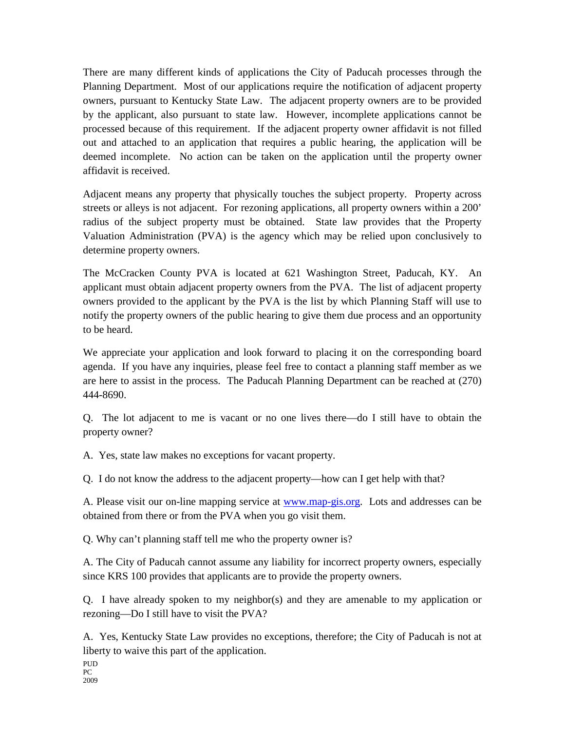There are many different kinds of applications the City of Paducah processes through the Planning Department. Most of our applications require the notification of adjacent property owners, pursuant to Kentucky State Law. The adjacent property owners are to be provided by the applicant, also pursuant to state law. However, incomplete applications cannot be processed because of this requirement. If the adjacent property owner affidavit is not filled out and attached to an application that requires a public hearing, the application will be deemed incomplete. No action can be taken on the application until the property owner affidavit is received.

Adjacent means any property that physically touches the subject property. Property across streets or alleys is not adjacent. For rezoning applications, all property owners within a 200' radius of the subject property must be obtained. State law provides that the Property Valuation Administration (PVA) is the agency which may be relied upon conclusively to determine property owners.

The McCracken County PVA is located at 621 Washington Street, Paducah, KY. An applicant must obtain adjacent property owners from the PVA. The list of adjacent property owners provided to the applicant by the PVA is the list by which Planning Staff will use to notify the property owners of the public hearing to give them due process and an opportunity to be heard.

We appreciate your application and look forward to placing it on the corresponding board agenda. If you have any inquiries, please feel free to contact a planning staff member as we are here to assist in the process. The Paducah Planning Department can be reached at (270) 444-8690.

Q. The lot adjacent to me is vacant or no one lives there—do I still have to obtain the property owner?

A. Yes, state law makes no exceptions for vacant property.

Q. I do not know the address to the adjacent property—how can I get help with that?

A. Please visit our on-line mapping service at [www.map-gis.org.](http://www.map-gis.org/) Lots and addresses can be obtained from there or from the PVA when you go visit them.

Q. Why can't planning staff tell me who the property owner is?

A. The City of Paducah cannot assume any liability for incorrect property owners, especially since KRS 100 provides that applicants are to provide the property owners.

Q. I have already spoken to my neighbor(s) and they are amenable to my application or rezoning—Do I still have to visit the PVA?

A. Yes, Kentucky State Law provides no exceptions, therefore; the City of Paducah is not at liberty to waive this part of the application.